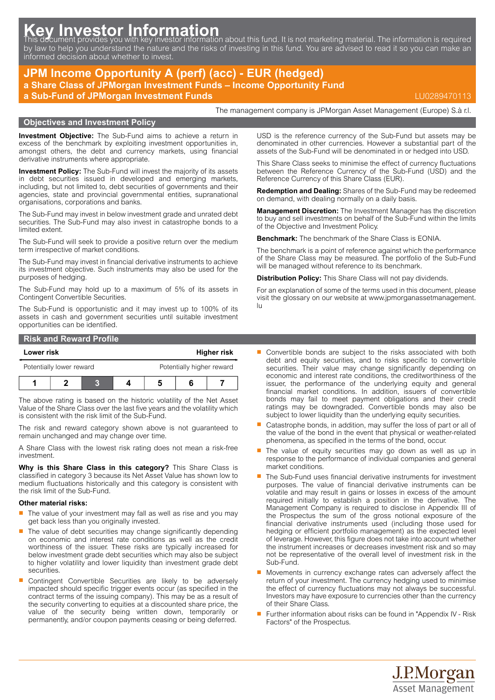# Key Investor Information<br>This document provides you with key investor information about this fund. It is not marketing material. The information is required

by law to help you understand the nature and the risks of investing in this fund. You are advised to read it so you can make an informed decision about whether to invest.

# **JPM Income Opportunity A (perf) (acc) - EUR (hedged)**

**a Share Class of JPMorgan Investment Funds – Income Opportunity Fund**

**a Sub-Fund of JPMorgan Investment Funds** LU0289470113

The management company is JPMorgan Asset Management (Europe) S.à r.l.

#### **Objectives and Investment Policy**

**Investment Objective:** The Sub-Fund aims to achieve a return in excess of the benchmark by exploiting investment opportunities in, amongst others, the debt and currency markets, using financial derivative instruments where appropriate.

**Investment Policy:** The Sub-Fund will invest the majority of its assets in debt securities issued in developed and emerging markets, including, but not limited to, debt securities of governments and their agencies, state and provincial governmental entities, supranational organisations, corporations and banks.

The Sub-Fund may invest in below investment grade and unrated debt securities. The Sub-Fund may also invest in catastrophe bonds to a limited extent.

The Sub-Fund will seek to provide a positive return over the medium term irrespective of market conditions.

The Sub-Fund may invest in financial derivative instruments to achieve its investment objective. Such instruments may also be used for the purposes of hedging.

The Sub-Fund may hold up to a maximum of 5% of its assets in Contingent Convertible Securities.

The Sub-Fund is opportunistic and it may invest up to 100% of its assets in cash and government securities until suitable investment opportunities can be identified.

## **Risk and Reward Profile Lower risk Higher risk**

| Potentially lower reward |  |  |  | Potentially higher reward |  |  |
|--------------------------|--|--|--|---------------------------|--|--|
|                          |  |  |  |                           |  |  |

The above rating is based on the historic volatility of the Net Asset Value of the Share Class over the last five years and the volatility which is consistent with the risk limit of the Sub-Fund.

The risk and reward category shown above is not guaranteed to remain unchanged and may change over time.

A Share Class with the lowest risk rating does not mean a risk-free investment.

**Why is this Share Class in this category?** This Share Class is classified in category 3 because its Net Asset Value has shown low to medium fluctuations historically and this category is consistent with the risk limit of the Sub-Fund.

#### **Other material risks:**

- The value of your investment may fall as well as rise and you may get back less than you originally invested.
- The value of debt securities may change significantly depending on economic and interest rate conditions as well as the credit worthiness of the issuer. These risks are typically increased for below investment grade debt securities which may also be subject to higher volatility and lower liquidity than investment grade debt securities.
- $\blacksquare$  Contingent Convertible Securities are likely to be adversely impacted should specific trigger events occur (as specified in the contract terms of the issuing company). This may be as a result of the security converting to equities at a discounted share price, the value of the security being written down, temporarily or permanently, and/or coupon payments ceasing or being deferred.

USD is the reference currency of the Sub-Fund but assets may be denominated in other currencies. However a substantial part of the assets of the Sub-Fund will be denominated in or hedged into USD.

This Share Class seeks to minimise the effect of currency fluctuations between the Reference Currency of the Sub-Fund (USD) and the Reference Currency of this Share Class (EUR).

**Redemption and Dealing:** Shares of the Sub-Fund may be redeemed on demand, with dealing normally on a daily basis.

**Management Discretion:** The Investment Manager has the discretion to buy and sell investments on behalf of the Sub-Fund within the limits of the Objective and Investment Policy.

**Benchmark:** The benchmark of the Share Class is EONIA.

The benchmark is a point of reference against which the performance of the Share Class may be measured. The portfolio of the Sub-Fund will be managed without reference to its benchmark.

**Distribution Policy:** This Share Class will not pay dividends.

For an explanation of some of the terms used in this document, please visit the glossary on our website at [www.jpmorganassetmanagement.](www.jpmorganassetmanagement.lu) [lu](www.jpmorganassetmanagement.lu)

- Convertible bonds are subject to the risks associated with both debt and equity securities, and to risks specific to convertible securities. Their value may change significantly depending on economic and interest rate conditions, the creditworthiness of the issuer, the performance of the underlying equity and general financial market conditions. In addition, issuers of convertible bonds may fail to meet payment obligations and their credit ratings may be downgraded. Convertible bonds may also be subject to lower liquidity than the underlying equity securities.
- Q Catastrophe bonds, in addition, may suffer the loss of part or all of the value of the bond in the event that physical or weather-related phenomena, as specified in the terms of the bond, occur.
- The value of equity securities may go down as well as up in response to the performance of individual companies and general market conditions.
- The Sub-Fund uses financial derivative instruments for investment purposes. The value of financial derivative instruments can be volatile and may result in gains or losses in excess of the amount required initially to establish a position in the derivative. The Management Company is required to disclose in Appendix III of the Prospectus the sum of the gross notional exposure of the financial derivative instruments used (including those used for hedging or efficient portfolio management) as the expected level of leverage. However, this figure does not take into account whether the instrument increases or decreases investment risk and so may not be representative of the overall level of investment risk in the Sub-Fund.
- $\blacksquare$  Movements in currency exchange rates can adversely affect the return of your investment. The currency hedging used to minimise the effect of currency fluctuations may not always be successful. Investors may have exposure to currencies other than the currency of their Share Class.
- Further information about risks can be found in "Appendix IV Risk Factors" of the Prospectus.

J.P.Morgan **Asset Management**